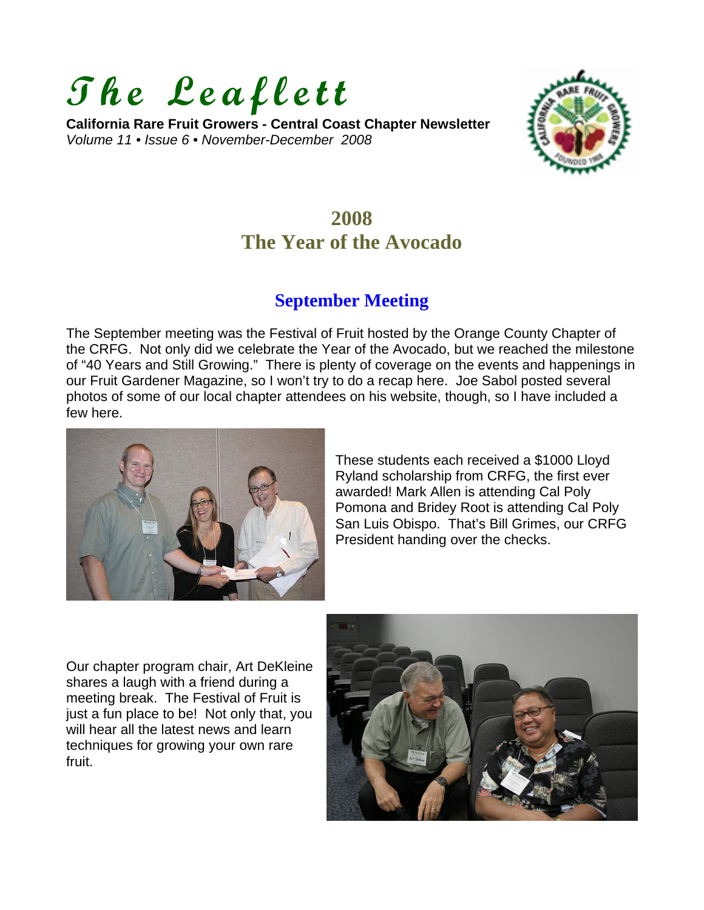# **The Leaflett**

**California Rare Fruit Growers - Central Coast Chapter Newsletter**  *Volume 11 • Issue 6 • November-December 2008* 



## **2008 The Year of the Avocado**

### **September Meeting**

The September meeting was the Festival of Fruit hosted by the Orange County Chapter of the CRFG. Not only did we celebrate the Year of the Avocado, but we reached the milestone of "40 Years and Still Growing." There is plenty of coverage on the events and happenings in our Fruit Gardener Magazine, so I won't try to do a recap here. Joe Sabol posted several photos of some of our local chapter attendees on his website, though, so I have included a few here.



These students each received a \$1000 Lloyd Ryland scholarship from CRFG, the first ever awarded! Mark Allen is attending Cal Poly Pomona and Bridey Root is attending Cal Poly San Luis Obispo. That's Bill Grimes, our CRFG President handing over the checks.

Our chapter program chair, Art DeKleine shares a laugh with a friend during a meeting break. The Festival of Fruit is just a fun place to be! Not only that, you will hear all the latest news and learn techniques for growing your own rare fruit.

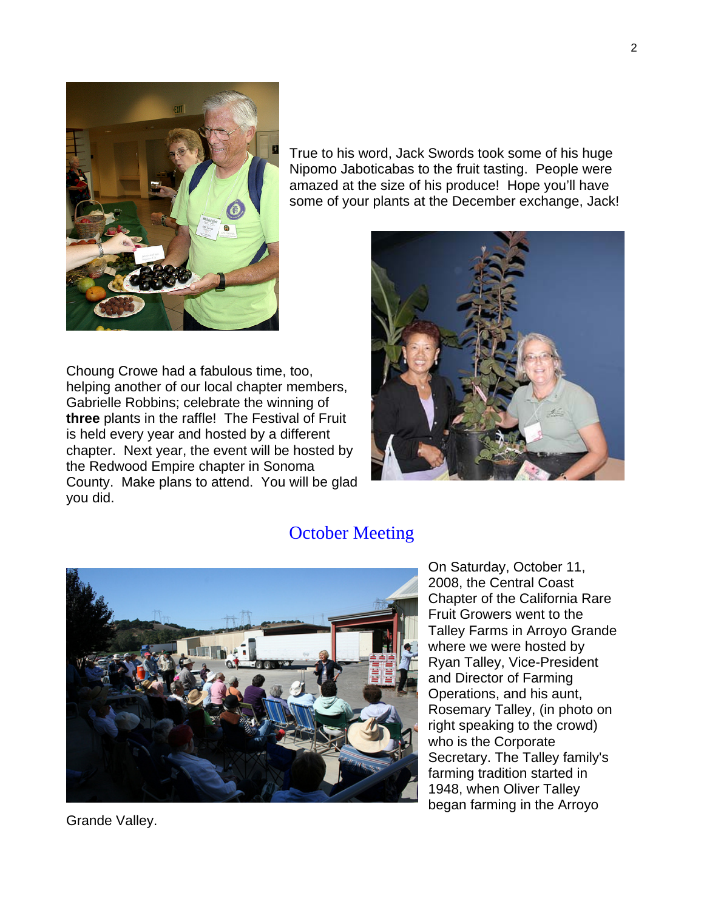

True to his word, Jack Swords took some of his huge Nipomo Jaboticabas to the fruit tasting. People were amazed at the size of his produce! Hope you'll have some of your plants at the December exchange, Jack!

Choung Crowe had a fabulous time, too, helping another of our local chapter members, Gabrielle Robbins; celebrate the winning of **three** plants in the raffle! The Festival of Fruit is held every year and hosted by a different chapter. Next year, the event will be hosted by the Redwood Empire chapter in Sonoma County. Make plans to attend. You will be glad you did.



#### October Meeting



On Saturday, October 11, 2008, the Central Coast Chapter of the California Rare Fruit Growers went to the Talley Farms in Arroyo Grande where we were hosted by Ryan Talley, Vice-President and Director of Farming Operations, and his aunt, Rosemary Talley, (in photo on right speaking to the crowd) who is the Corporate Secretary. The Talley family's farming tradition started in 1948, when Oliver Talley began farming in the Arroyo

Grande Valley.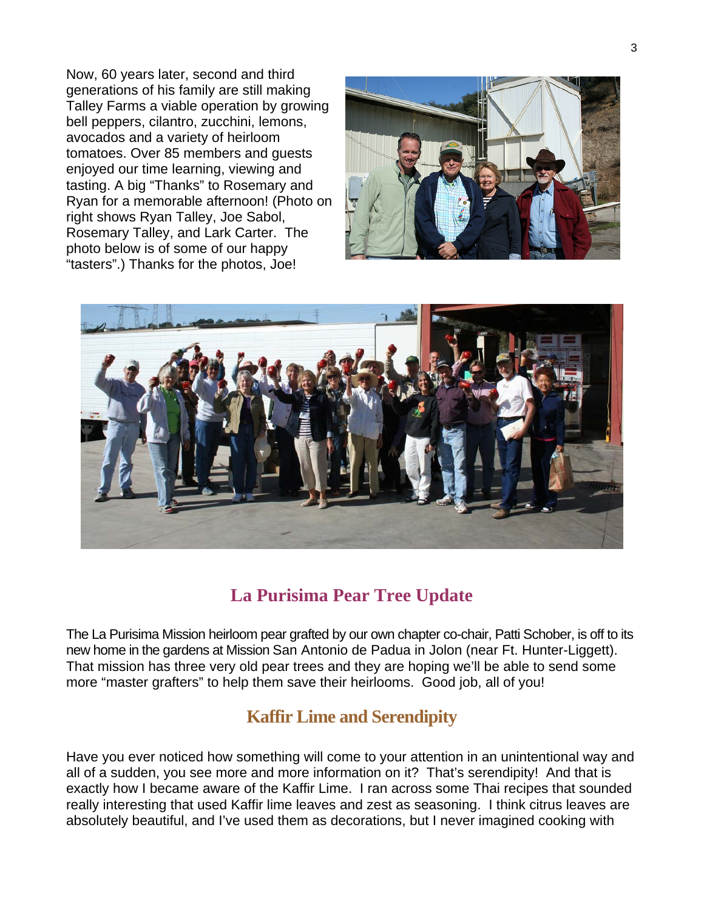Now, 60 years later, second and third generations of his family are still making Talley Farms a viable operation by growing bell peppers, cilantro, zucchini, lemons, avocados and a variety of heirloom tomatoes. Over 85 members and guests enjoyed our time learning, viewing and tasting. A big "Thanks" to Rosemary and Ryan for a memorable afternoon! (Photo on right shows Ryan Talley, Joe Sabol, Rosemary Talley, and Lark Carter. The photo below is of some of our happy "tasters".) Thanks for the photos, Joe!





### **La Purisima Pear Tree Update**

The La Purisima Mission heirloom pear grafted by our own chapter co-chair, Patti Schober, is off to its new home in the gardens at Mission San Antonio de Padua in Jolon (near Ft. Hunter-Liggett). That mission has three very old pear trees and they are hoping we'll be able to send some more "master grafters" to help them save their heirlooms. Good job, all of you!

#### **Kaffir Lime and Serendipity**

Have you ever noticed how something will come to your attention in an unintentional way and all of a sudden, you see more and more information on it? That's serendipity! And that is exactly how I became aware of the Kaffir Lime. I ran across some Thai recipes that sounded really interesting that used Kaffir lime leaves and zest as seasoning. I think citrus leaves are absolutely beautiful, and I've used them as decorations, but I never imagined cooking with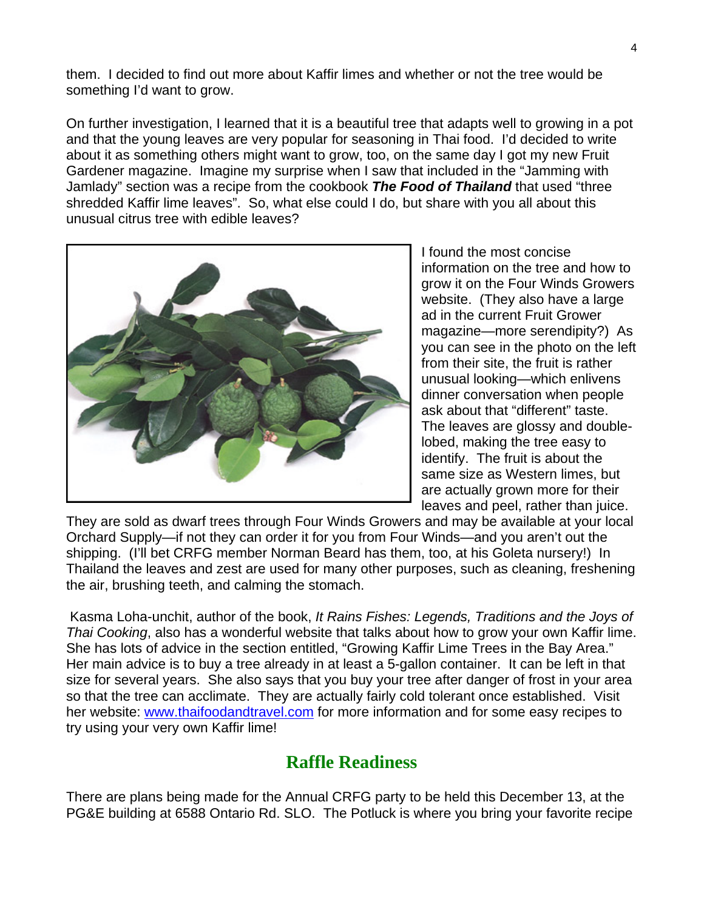them. I decided to find out more about Kaffir limes and whether or not the tree would be something I'd want to grow.

On further investigation, I learned that it is a beautiful tree that adapts well to growing in a pot and that the young leaves are very popular for seasoning in Thai food. I'd decided to write about it as something others might want to grow, too, on the same day I got my new Fruit Gardener magazine. Imagine my surprise when I saw that included in the "Jamming with Jamlady" section was a recipe from the cookbook *The Food of Thailand* that used "three shredded Kaffir lime leaves". So, what else could I do, but share with you all about this unusual citrus tree with edible leaves?



I found the most concise information on the tree and how to grow it on the Four Winds Growers website. (They also have a large ad in the current Fruit Grower magazine—more serendipity?) As you can see in the photo on the left from their site, the fruit is rather unusual looking—which enlivens dinner conversation when people ask about that "different" taste. The leaves are glossy and doublelobed, making the tree easy to identify. The fruit is about the same size as Western limes, but are actually grown more for their leaves and peel, rather than juice.

They are sold as dwarf trees through Four Winds Growers and may be available at your local Orchard Supply—if not they can order it for you from Four Winds—and you aren't out the shipping. (I'll bet CRFG member Norman Beard has them, too, at his Goleta nursery!) In Thailand the leaves and zest are used for many other purposes, such as cleaning, freshening the air, brushing teeth, and calming the stomach.

 Kasma Loha-unchit, author of the book, *It Rains Fishes: Legends, Traditions and the Joys of Thai Cooking*, also has a wonderful website that talks about how to grow your own Kaffir lime. She has lots of advice in the section entitled, "Growing Kaffir Lime Trees in the Bay Area." Her main advice is to buy a tree already in at least a 5-gallon container. It can be left in that size for several years. She also says that you buy your tree after danger of frost in your area so that the tree can acclimate. They are actually fairly cold tolerant once established. Visit her website: [www.thaifoodandtravel.com](http://www.thaifoodandtravel.com/) for more information and for some easy recipes to try using your very own Kaffir lime!

#### **Raffle Readiness**

There are plans being made for the Annual CRFG party to be held this December 13, at the PG&E building at 6588 Ontario Rd. SLO. The Potluck is where you bring your favorite recipe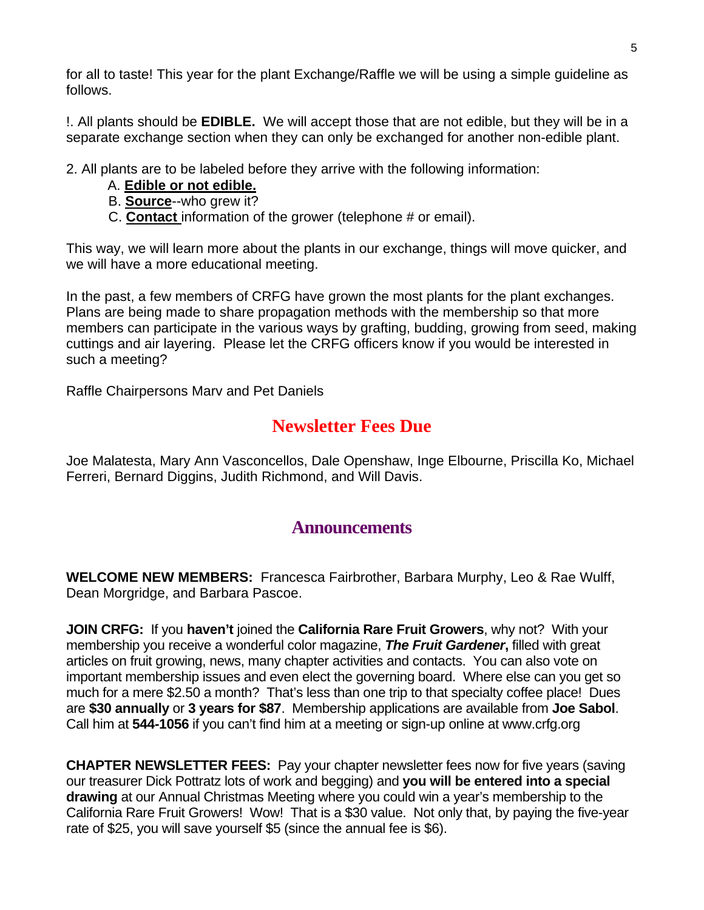for all to taste! This year for the plant Exchange/Raffle we will be using a simple guideline as follows.

!. All plants should be **EDIBLE.** We will accept those that are not edible, but they will be in a separate exchange section when they can only be exchanged for another non-edible plant.

2. All plants are to be labeled before they arrive with the following information:

- A. **Edible or not edible.**
- B. **Source**--who grew it?
- C. **Contact** information of the grower (telephone # or email).

This way, we will learn more about the plants in our exchange, things will move quicker, and we will have a more educational meeting.

In the past, a few members of CRFG have grown the most plants for the plant exchanges. Plans are being made to share propagation methods with the membership so that more members can participate in the various ways by grafting, budding, growing from seed, making cuttings and air layering. Please let the CRFG officers know if you would be interested in such a meeting?

Raffle Chairpersons Marv and Pet Daniels

### **Newsletter Fees Due**

Joe Malatesta, Mary Ann Vasconcellos, Dale Openshaw, Inge Elbourne, Priscilla Ko, Michael Ferreri, Bernard Diggins, Judith Richmond, and Will Davis.

#### **Announcements**

**WELCOME NEW MEMBERS:** Francesca Fairbrother, Barbara Murphy, Leo & Rae Wulff, Dean Morgridge, and Barbara Pascoe.

**JOIN CRFG:** If you **haven't** joined the **California Rare Fruit Growers**, why not? With your membership you receive a wonderful color magazine, *The Fruit Gardener***,** filled with great articles on fruit growing, news, many chapter activities and contacts. You can also vote on important membership issues and even elect the governing board. Where else can you get so much for a mere \$2.50 a month? That's less than one trip to that specialty coffee place! Dues are **\$30 annually** or **3 years for \$87**. Membership applications are available from **Joe Sabol**. Call him at **544-1056** if you can't find him at a meeting or sign-up online at www.crfg.org

**CHAPTER NEWSLETTER FEES:** Pay your chapter newsletter fees now for five years (saving our treasurer Dick Pottratz lots of work and begging) and **you will be entered into a special drawing** at our Annual Christmas Meeting where you could win a year's membership to the California Rare Fruit Growers! Wow! That is a \$30 value. Not only that, by paying the five-year rate of \$25, you will save yourself \$5 (since the annual fee is \$6).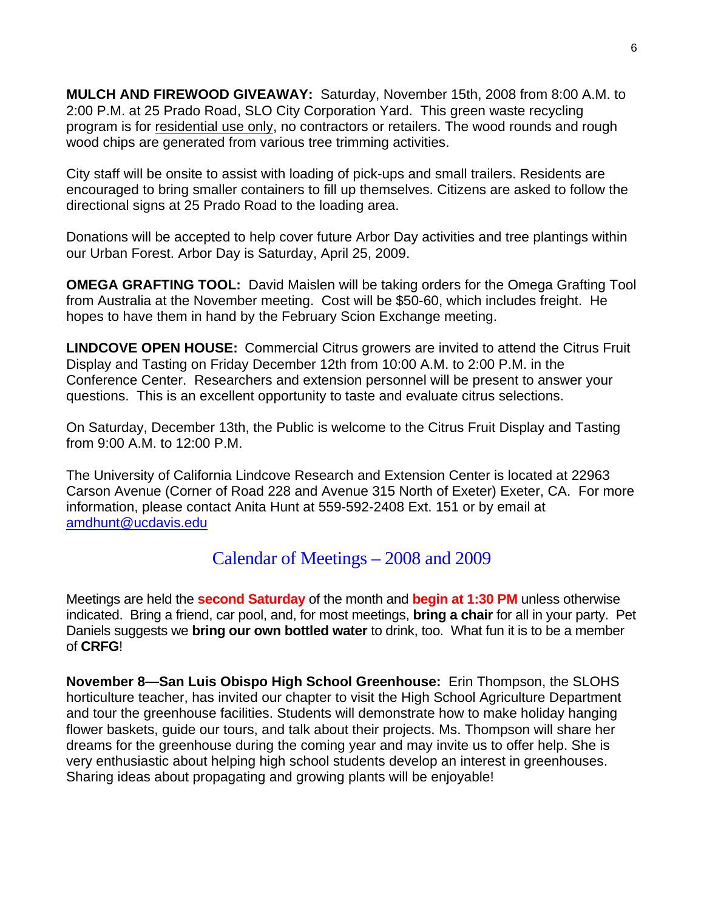**MULCH AND FIREWOOD GIVEAWAY:** Saturday, November 15th, 2008 from 8:00 A.M. to 2:00 P.M. at 25 Prado Road, SLO City Corporation Yard. This green waste recycling program is for residential use only, no contractors or retailers. The wood rounds and rough wood chips are generated from various tree trimming activities.

City staff will be onsite to assist with loading of pick-ups and small trailers. Residents are encouraged to bring smaller containers to fill up themselves. Citizens are asked to follow the directional signs at 25 Prado Road to the loading area.

Donations will be accepted to help cover future Arbor Day activities and tree plantings within our Urban Forest. Arbor Day is Saturday, April 25, 2009.

**OMEGA GRAFTING TOOL:** David Maislen will be taking orders for the Omega Grafting Tool from Australia at the November meeting. Cost will be \$50-60, which includes freight. He hopes to have them in hand by the February Scion Exchange meeting.

**LINDCOVE OPEN HOUSE:** Commercial Citrus growers are invited to attend the Citrus Fruit Display and Tasting on Friday December 12th from 10:00 A.M. to 2:00 P.M. in the Conference Center. Researchers and extension personnel will be present to answer your questions. This is an excellent opportunity to taste and evaluate citrus selections.

On Saturday, December 13th, the Public is welcome to the Citrus Fruit Display and Tasting from 9:00 A.M. to 12:00 P.M.

The University of California Lindcove Research and Extension Center is located at 22963 Carson Avenue (Corner of Road 228 and Avenue 315 North of Exeter) Exeter, CA. For more information, please contact Anita Hunt at 559-592-2408 Ext. 151 or by email at [amdhunt@ucdavis.edu](mailto:amdhunt@ucdavis.edu)

Calendar of Meetings – 2008 and 2009

Meetings are held the **second Saturday** of the month and **begin at 1:30 PM** unless otherwise indicated. Bring a friend, car pool, and, for most meetings, **bring a chair** for all in your party. Pet Daniels suggests we **bring our own bottled water** to drink, too. What fun it is to be a member of **CRFG**!

**November 8—San Luis Obispo High School Greenhouse:** Erin Thompson, the SLOHS horticulture teacher, has invited our chapter to visit the High School Agriculture Department and tour the greenhouse facilities. Students will demonstrate how to make holiday hanging flower baskets, guide our tours, and talk about their projects. Ms. Thompson will share her dreams for the greenhouse during the coming year and may invite us to offer help. She is very enthusiastic about helping high school students develop an interest in greenhouses. Sharing ideas about propagating and growing plants will be enjoyable!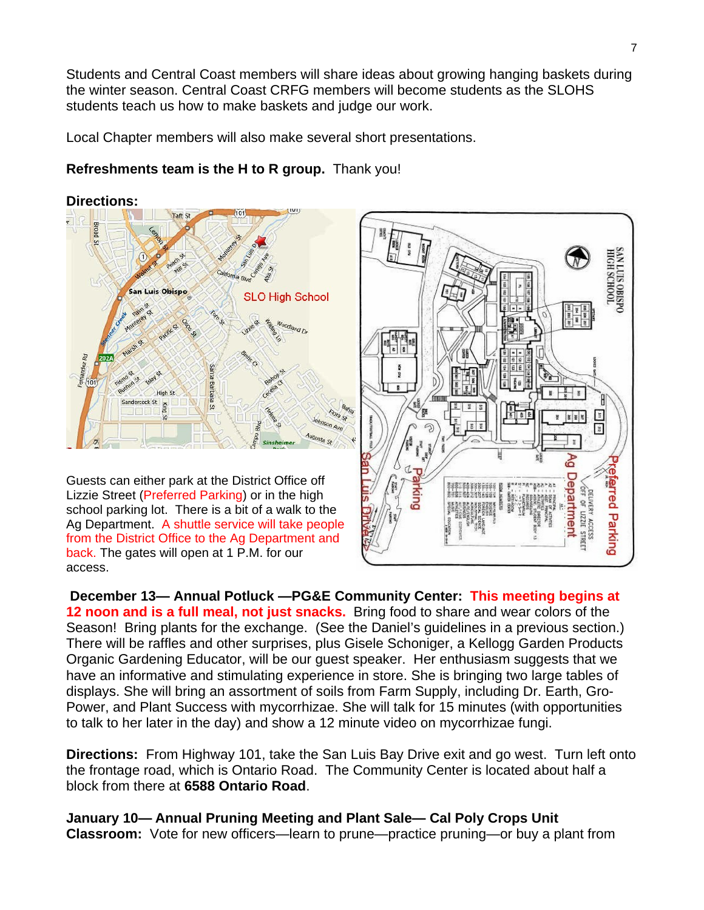Students and Central Coast members will share ideas about growing hanging baskets during the winter season. Central Coast CRFG members will become students as the SLOHS students teach us how to make baskets and judge our work.

Local Chapter members will also make several short presentations.

#### **Refreshments team is the H to R group.** Thank you!



Guests can either park at the District Office off Lizzie Street (Preferred Parking) or in the high school parking lot. There is a bit of a walk to the Ag Department. A shuttle service will take people from the District Office to the Ag Department and back. The gates will open at 1 P.M. for our access.



 **December 13— Annual Potluck —PG&E Community Center: This meeting begins at 12 noon and is a full meal, not just snacks.** Bring food to share and wear colors of the Season! Bring plants for the exchange. (See the Daniel's guidelines in a previous section.) There will be raffles and other surprises, plus Gisele Schoniger, a Kellogg Garden Products Organic Gardening Educator, will be our guest speaker. Her enthusiasm suggests that we have an informative and stimulating experience in store. She is bringing two large tables of displays. She will bring an assortment of soils from Farm Supply, including Dr. Earth, Gro-Power, and Plant Success with mycorrhizae. She will talk for 15 minutes (with opportunities to talk to her later in the day) and show a 12 minute video on mycorrhizae fungi.

**Directions:** From Highway 101, take the San Luis Bay Drive exit and go west. Turn left onto the frontage road, which is Ontario Road. The Community Center is located about half a block from there at **6588 Ontario Road**.

**January 10— Annual Pruning Meeting and Plant Sale— Cal Poly Crops Unit Classroom:** Vote for new officers—learn to prune—practice pruning—or buy a plant from